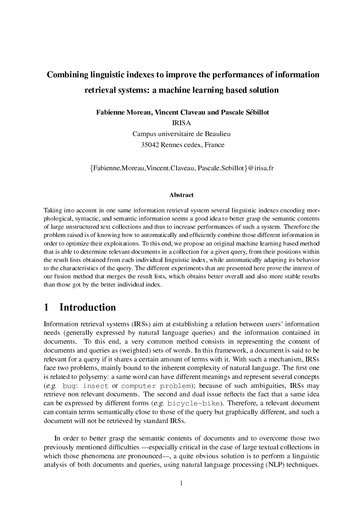# Combining linguistic indexes to improve the performances of information retrieval systems: a machine learning based solution

Fabienne Moreau, Vincent Claveau and Pascale Sébillot

IRISA

Campus universitaire de Beaulieu 35042 Rennes cedex, France

{Fabienne.Moreau,Vincent.Claveau, Pascale.Sebillot}@irisa.fr

#### Abstract

Taking into account in one same information retrieval system several linguistic indexes encoding morphological, syntactic, and semantic information seems a good idea to better grasp the semantic contents of large unstructured text collections and thus to increase performances of such a system. Therefore the problem raised is of knowing how to automatically and efficiently combine those different information in order to optimize their exploitations. To this end, we propose an original machine learning based method that is able to determine relevant documents in a collection for a given query, from their positions within the result lists obtained from each individual linguistic index, while automatically adapting its behavior to the characteristics of the query. The different experiments that are presented here prove the interest of our fusion method that merges the result lists, which obtains better overall and also more stable results than those got by the better individual index.

# 1 Introduction

Information retrieval systems (IRSs) aim at establishing a relation between users' information needs (generally expressed by natural language queries) and the information contained in documents. To this end, a very common method consists in representing the content of documents and queries as (weighted) sets of words. In this framework, a document is said to be relevant for a query if it shares a certain amount of terms with it. With such a mechanism, IRSs face two problems, mainly bound to the inherent complexity of natural language. The first one is related to polysemy: a same word can have different meanings and represent several concepts (e.g. bug: insect or computer problem); because of such ambiguities, IRSs may retrieve non relevant documents. The second and dual issue reflects the fact that a same idea can be expressed by different forms (e.g. bicycle-bike). Therefore, a relevant document can contain terms semantically close to those of the query but graphically different, and such a document will not be retrieved by standard IRSs.

In order to better grasp the semantic contents of documents and to overcome those two previously mentioned difficulties —especially critical in the case of large textual collections in which those phenomena are pronounced—, a quite obvious solution is to perform a linguistic analysis of both documents and queries, using natural language processing (NLP) techniques.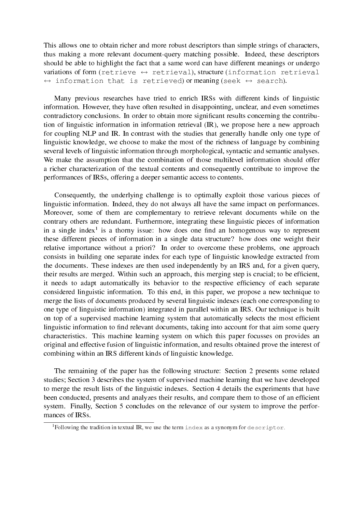This allows one to obtain richer and more robust descriptors than simple strings of characters, thus making a more relevant document-query matching possible. Indeed, these descriptors should be able to highlight the fact that a same word can have different meanings or undergo variations of form (retrieve  $\leftrightarrow$  retrieval), structure (information retrieval  $\leftrightarrow$  information that is retrieved) or meaning (seek  $\leftrightarrow$  search).

Many previous researches have tried to enrich IRSs with different kinds of linguistic information. However, they have often resulted in disappointing, unclear, and even sometimes contradictory conclusions. In order to obtain more significant results concerning the contribution of linguistic information in information retrieval (IR), we propose here a new approach for coupling NLP and IR. In contrast with the studies that generally handle only one type of linguistic knowledge, we choose to make the most of the richness of language by combining several levels of linguistic information through morphological, syntactic and semantic analyses. We make the assumption that the combination of those multilevel information should offer a richer characterization of the textual contents and consequently contribute to improve the performances of IRSs, offering a deeper semantic access to contents.

Consequently, the underlying challenge is to optimally exploit those various pieces of linguistic information. Indeed, they do not always all have the same impact on performances. Moreover, some of them are complementary to retrieve relevant documents while on the contrary others are redundant. Furthermore, integrating these linguistic pieces of information in a single index<sup>1</sup> is a thorny issue: how does one find an homogenous way to represent these different pieces of information in a single data structure? how does one weight their relative importance without a priori? In order to overcome these problems, one approach consists in building one separate index for each type of linguistic knowledge extracted from the documents. These indexes are then used independently by an IRS and, for a given query, their results are merged. Within such an approach, this merging step is crucial; to be efficient, it needs to adapt automatically its behavior to the respective efficiency of each separate considered linguistic information. To this end, in this paper, we propose a new technique to merge the lists of documents produced by several linguistic indexes (each one corresponding to one type of linguistic information) integrated in parallel within an IRS. Our technique is built on top of a supervised machine learning system that automatically selects the most efficient linguistic information to find relevant documents, taking into account for that aim some query characteristics. This machine learning system on which this paper focusses on provides an original and effective fusion of linguistic information, and results obtained prove the interest of combining within an IRS different kinds of linguistic knowledge.

The remaining of the paper has the following structure: Section 2 presents some related studies; Section 3 describes the system of supervised machine learning that we have developed to merge the result lists of the linguistic indexes. Section 4 details the experiments that have been conducted, presents and analyzes their results, and compare them to those of an efficient system. Finally, Section 5 concludes on the relevance of our system to improve the performances of IRSs.

 ${}^{1}$ Following the tradition in textual IR, we use the term index as a synonym for descriptor.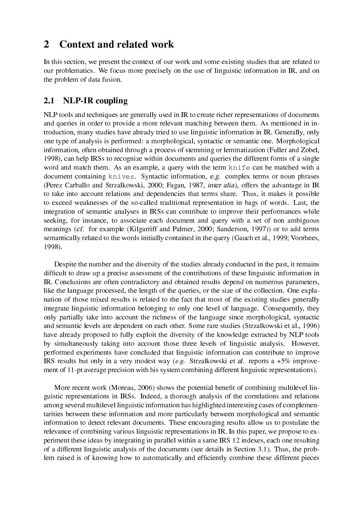# 2 Context and related work

In this section, we present the context of our work and some existing studies that are related to our problematics. We focus more precisely on the use of linguistic information in IR, and on the problem of data fusion.

### 2.1 NLP-IR coupling

NLP tools and techniques are generally used in IR to create richer representations of documents and queries in order to provide a more relevant matching between them. As mentioned in introduction, many studies have already tried to use linguistic information in IR. Generally, only one type of analysis is performed: a morphological, syntactic or semantic one. Morphological information, often obtained through a process of stemming or lemmatization (Fuller and Zobel, 1998), can help IRSs to recognize within documents and queries the different forms of a single word and match them. As an example, a query with the term  $kni \in \text{can}$  be matched with a document containing knives. Syntactic information, e.g. complex terms or noun phrases (Perez Carballo and Strzalkowski, 2000; Fagan, 1987, inter alia), offers the advantage in IR to take into account relations and dependencies that terms share. Thus, it makes it possible to exceed weaknesses of the so-called traditional representation in bags of words. Last, the integration of semantic analyses in IRSs can contribute to improve their performances while seeking, for instance, to associate each document and query with a set of non ambiguous meanings (cf. for example (Kilgarriff and Palmer, 2000; Sanderson, 1997)) or to add terms semantically related to the words initially contained in the query (Gauch et al., 1999; Voorhees, 1998).

Despite the number and the diversity of the studies already conducted in the past, it remains difficult to draw up a precise assessment of the contributions of these linguistic information in IR. Conclusions are often contradictory and obtained results depend on numerous parameters, like the language processed, the length of the queries, or the size of the collection. One explanation of those mixed results is related to the fact that most of the existing studies generally integrate linguistic information belonging to only one level of language. Consequently, they only partially take into account the richness of the language since morphological, syntactic and semantic levels are dependent on each other. Some rare studies (Strzalkowski et al., 1996) have already proposed to fully exploit the diversity of the knowledge extracted by NLP tools by simultaneously taking into account those three levels of linguistic analysis. However, performed experiments have concluded that linguistic information can contribute to improve IRS results but only in a very modest way (e.g. Strzalkowski et al. reports a +5% improvement of 11-pt average precision with his system combining different linguistic representations).

More recent work (Moreau, 2006) shows the potential benefit of combining multilevel linguistic representations in IRSs. Indeed, a thorough analysis of the correlations and relations among several multilevel linguistic information has highlighted interesting cases of complementarities between these information and more particularly between morphological and semantic information to detect relevant documents. These encouraging results allow us to postulate the relevance of combining various linguistic representations in IR. In this paper, we propose to experiment these ideas by integrating in parallel within a same IRS 12 indexes, each one resulting of a different linguistic analysis of the documents (see details in Section 3.1). Thus, the problem raised is of knowing how to automatically and efficiently combine these different pieces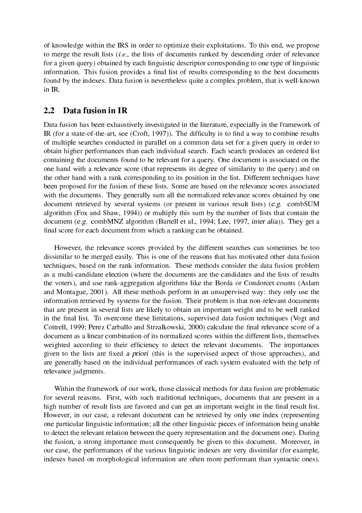of knowledge within the IRS in order to optimize their exploitations. To this end, we propose to merge the result lists (i.e., the lists of documents ranked by descending order of relevance for a given query) obtained by each linguistic descriptor corresponding to one type of linguistic information. This fusion provides a final list of results corresponding to the best documents found by the indexes. Data fusion is nevertheless quite a complex problem, that is well-known in IR.

### 2.2 Data fusion in IR

Data fusion has been exhaustively investigated in the literature, especially in the framework of IR (for a state-of-the-art, see (Croft, 1997)). The difficulty is to find a way to combine results of multiple searches conducted in parallel on a common data set for a given query in order to obtain higher performances than each individual search. Each search produces an ordered list containing the documents found to be relevant for a query. One document is associated on the one hand with a relevance score (that represents its degree of similarity to the query) and on the other hand with a rank corresponding to its position in the list. Different techniques have been proposed for the fusion of these lists. Some are based on the relevance scores associated with the documents. They generally sum all the normalized relevance scores obtained by one document retrieved by several systems (or present in various result lists) (e.g. combSUM algorithm (Fox and Shaw, 1994)) or multiply this sum by the number of lists that contain the document (e.g. combMNZ algorithm (Bartell et al., 1994; Lee, 1997, inter alia)). They get a final score for each document from which a ranking can be obtained.

However, the relevance scores provided by the different searches can sometimes be too dissimilar to be merged easily. This is one of the reasons that has motivated other data fusion techniques, based on the rank information. These methods consider the data fusion problem as a multi-candidate election (where the documents are the candidates and the lists of results the voters), and use rank-aggregation algorithms like the Borda or Condorcet counts (Aslam and Montague, 2001). All these methods perform in an unsupervised way: they only use the information retrieved by systems for the fusion. Their problem is that non-relevant documents that are present in several lists are likely to obtain an important weight and to be well ranked in the final list. To overcome these limitations, supervised data fusion techniques (Vogt and Cottrell, 1999; Perez Carballo and Strzalkowski, 2000) calculate the final relevance score of a document as a linear combination of its normalized scores within the different lists, themselves weighted according to their efficiency to detect the relevant documents. The importances given to the lists are fixed a priori (this is the supervised aspect of those approaches), and are generally based on the individual performances of each system evaluated with the help of relevance judgments.

Within the framework of our work, those classical methods for data fusion are problematic for several reasons. First, with such traditional techniques, documents that are present in a high number of result lists are favored and can get an important weight in the final result list. However, in our case, a relevant document can be retrieved by only one index (representing one particular linguistic information; all the other linguistic pieces of information being unable to detect the relevant relation between the query representation and the document one). During the fusion, a strong importance must consequently be given to this document. Moreover, in our case, the performances of the various linguistic indexes are very dissimilar (for example, indexes based on morphological information are often more performant than syntactic ones).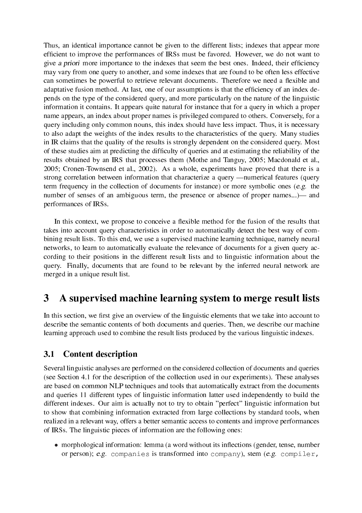Thus, an identical importance cannot be given to the different lists; indexes that appear more efficient to improve the performances of IRSs must be favored. However, we do not want to give a priori more importance to the indexes that seem the best ones. Indeed, their efficiency may vary from one query to another, and some indexes that are found to be often less effective can sometimes be powerful to retrieve relevant documents. Therefore we need a flexible and adaptative fusion method. At last, one of our assumptions is that the efficiency of an index depends on the type of the considered query, and more particularly on the nature of the linguistic information it contains. It appears quite natural for instance that for a query in which a proper name appears, an index about proper names is privileged compared to others. Conversely, for a query including only common nouns, this index should have less impact. Thus, it is necessary to also adapt the weights of the index results to the characteristics of the query. Many studies in IR claims that the quality of the results is strongly dependent on the considered query. Most of these studies aim at predicting the difficulty of queries and at estimating the reliability of the results obtained by an IRS that processes them (Mothe and Tanguy, 2005; Macdonald et al., 2005; Cronen-Townsend et al., 2002). As a whole, experiments have proved that there is a strong correlation between information that characterize a query —numerical features (query term frequency in the collection of documents for instance) or more symbolic ones (e.g. the number of senses of an ambiguous term, the presence or absence of proper names...)— and performances of IRSs.

In this context, we propose to conceive a flexible method for the fusion of the results that takes into account query characteristics in order to automatically detect the best way of combining result lists. To this end, we use a supervised machine learning technique, namely neural networks, to learn to automatically evaluate the relevance of documents for a given query according to their positions in the different result lists and to linguistic information about the query. Finally, documents that are found to be relevant by the inferred neural network are merged in a unique result list.

# 3 A supervised machine learning system to merge result lists

In this section, we first give an overview of the linguistic elements that we take into account to describe the semantic contents of both documents and queries. Then, we describe our machine learning approach used to combine the result lists produced by the various linguistic indexes.

### 3.1 Content description

Several linguistic analyses are performed on the considered collection of documents and queries (see Section 4.1 for the description of the collection used in our experiments). These analyses are based on common NLP techniques and tools that automatically extract from the documents and queries 11 different types of linguistic information latter used independently to build the different indexes. Our aim is actually not to try to obtain "perfect" linguistic information but to show that combining information extracted from large collections by standard tools, when realized in a relevant way, offers a better semantic access to contents and improve performances of IRSs. The linguistic pieces of information are the following ones:

• morphological information: lemma (a word without its inflections (gender, tense, number or person); e.g. companies is transformed into company), stem (e.g. compiler,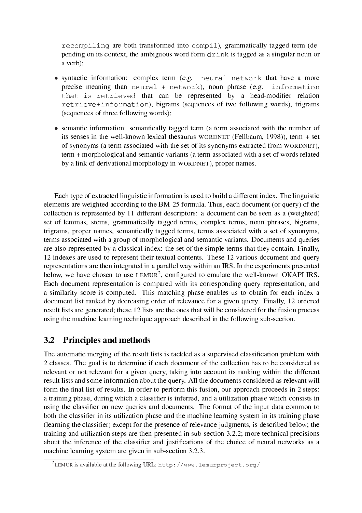recompiling are both transformed into compil), grammatically tagged term (depending on its context, the ambiguous word form drink is tagged as a singular noun or a verb);

- syntactic information: complex term (e.g. neural network that have a more precise meaning than neural  $+$  network), noun phrase (e.g. information that is retrieved that can be represented by a head-modifier relation retrieve+information), bigrams (sequences of two following words), trigrams (sequences of three following words);
- semantic information: semantically tagged term (a term associated with the number of its senses in the well-known lexical thesaurus WORDNET (Fellbaum, 1998)), term + set of synonyms (a term associated with the set of its synonyms extracted from WORDNET), term + morphological and semantic variants (a term associated with a set of words related by a link of derivational morphology in WORDNET), proper names.

Each type of extracted linguistic information is used to build a different index. The linguistic elements are weighted according to the BM-25 formula. Thus, each document (or query) of the collection is represented by 11 different descriptors: a document can be seen as a (weighted) set of lemmas, stems, grammatically tagged terms, complex terms, noun phrases, bigrams, trigrams, proper names, semantically tagged terms, terms associated with a set of synonyms, terms associated with a group of morphological and semantic variants. Documents and queries are also represented by a classical index: the set of the simple terms that they contain. Finally, 12 indexes are used to represent their textual contents. These 12 various document and query representations are then integrated in a parallel way within an IRS. In the experiments presented below, we have chosen to use  $LEMUR<sup>2</sup>$ , configured to emulate the well-known OKAPI IRS. Each document representation is compared with its corresponding query representation, and a similarity score is computed. This matching phase enables us to obtain for each index a document list ranked by decreasing order of relevance for a given query. Finally, 12 ordered result lists are generated; these 12 lists are the ones that will be considered for the fusion process using the machine learning technique approach described in the following sub-section.

## 3.2 Principles and methods

The automatic merging of the result lists is tackled as a supervised classification problem with 2 classes. The goal is to determine if each document of the collection has to be considered as relevant or not relevant for a given query, taking into account its ranking within the different result lists and some information about the query. All the documents considered as relevant will form the final list of results. In order to perform this fusion, our approach proceeds in 2 steps: a training phase, during which a classifier is inferred, and a utilization phase which consists in using the classifier on new queries and documents. The format of the input data common to both the classifier in its utilization phase and the machine learning system in its training phase (learning the classifier) except for the presence of relevance judgments, is described below; the training and utilization steps are then presented in sub-section 3.2.2; more technical precisions about the inference of the classifier and justifications of the choice of neural networks as a machine learning system are given in sub-section 3.2.3.

<sup>&</sup>lt;sup>2</sup>LEMUR is available at the following URL: http://www.lemurproject.org/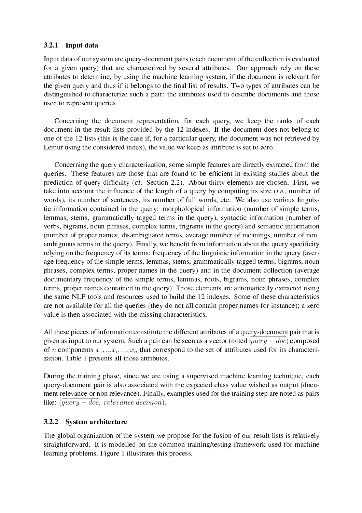#### 3.2.1 Input data

Input data of our system are query-document pairs (each document of the collection is evaluated for a given query) that are characterized by several attributes. Our approach rely on these attributes to determine, by using the machine learning system, if the document is relevant for the given query and thus if it belongs to the final list of results. Two types of attributes can be distinguished to characterize such a pair: the attributes used to describe documents and those used to represent queries.

Concerning the document representation, for each query, we keep the ranks of each document in the result lists provided by the 12 indexes. If the document does not belong to one of the 12 lists (this is the case if, for a particular query, the document was not retrieved by Lemur using the considered index), the value we keep as attribute is set to zero.

Concerning the query characterization, some simple features are directly extracted from the queries. These features are those that are found to be efficient in existing studies about the prediction of query difficulty (cf. Section 2.2). About thirty elements are chosen. First, we take into account the influence of the length of a query by computing its size  $(i.e.,$  number of words), its number of sentences, its number of full words, etc. We also use various linguistic information contained in the query: morphological information (number of simple terms, lemmas, stems, grammatically tagged terms in the query), syntactic information (number of verbs, bigrams, noun phrases, complex terms, trigrams in the query) and semantic information (number of proper names, disambiguated terms, average number of meanings, number of nonambiguous terms in the query). Finally, we benefit from information about the query specificity relying on the frequency of its terms: frequency of the linguistic information in the query (average frequency of the simple terms, lemmas, stems, grammatically tagged terms, bigrams, noun phrases, complex terms, proper names in the query) and in the document collection (average documentary frequency of the simple terms, lemmas, roots, bigrams, noun phrases, complex terms, proper names contained in the query). Those elements are automatically extracted using the same NLP tools and resources used to build the 12 indexes. Some of these characteristics are not available for all the queries (they do not all contain proper names for instance); a zero value is then associated with the missing characteristics.

All these pieces of information constitute the different attributes of a query-document pair that is given as input to our system. Such a pair can be seen as a vector (noted  $query - doc$ ) composed of n components  $x_1, \ldots, x_i, \ldots, x_n$  that correspond to the set of attributes used for its characterization. Table 1 presents all those attributes.

During the training phase, since we are using a supervised machine learning technique, each query-document pair is also associated with the expected class value wished as output (document relevance or non relevance). Finally, examples used for the training step are noted as pairs like:  $(\overline{query - doc},$  relevance). Finally,

#### 3.2.2 System architecture

The global organization of the system we propose for the fusion of our result lists is relatively straightforward. It is modelled on the common training/testing framework used for machine learning problems. Figure 1 illustrates this process.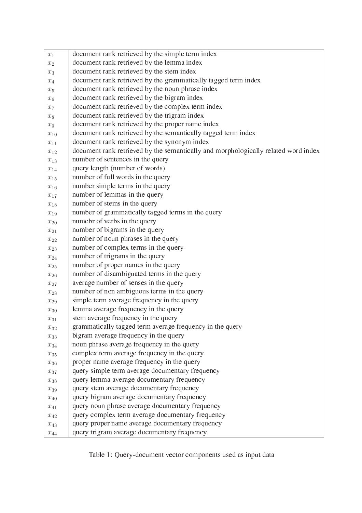| $x_1$                 | document rank retrieved by the simple term index                                   |
|-----------------------|------------------------------------------------------------------------------------|
| $\boldsymbol{x}_2$    | document rank retrieved by the lemma index                                         |
| $\boldsymbol{x}_3$    | document rank retrieved by the stem index                                          |
| $x_4$                 | document rank retrieved by the grammatically tagged term index                     |
| $x_5$                 | document rank retrieved by the noun phrase index                                   |
| $x_6$                 | document rank retrieved by the bigram index                                        |
| $x_7$                 | document rank retrieved by the complex term index                                  |
| $x_8$                 | document rank retrieved by the trigram index                                       |
| $x_9$                 | document rank retrieved by the proper name index                                   |
| $x_{10}$              | document rank retrieved by the semantically tagged term index                      |
| $\boldsymbol{x}_{11}$ | document rank retrieved by the synonym index                                       |
| $x_{12}$              | document rank retrieved by the semantically and morphologically related word index |
| $x_{13}$              | number of sentences in the query                                                   |
| $x_{14}$              | query length (number of words)                                                     |
| $x_{15}$              | number of full words in the query                                                  |
| $x_{16}$              | number simple terms in the query                                                   |
| $x_{17}$              | number of lemmas in the query                                                      |
| $x_{18}$              | number of stems in the query                                                       |
| $x_{19}$              | number of grammatically tagged terms in the query                                  |
| $x_{20}$              | numebr of verbs in the query                                                       |
| $x_{21}$              | number of bigrams in the query                                                     |
| $\boldsymbol{x}_{22}$ | number of noun phrases in the query                                                |
| $x_{23}$              | number of complex terms in the query                                               |
| $x_{24}$              | number of trigrams in the query                                                    |
| $\boldsymbol{x}_{25}$ | number of proper names in the query                                                |
| $x_{26}$              | number of disambiguated terms in the query                                         |
| $\boldsymbol{x}_{27}$ | average number of senses in the query                                              |
| $x_{28}$              | number of non ambiguous terms in the query                                         |
| $\mathcal{X} _{29}$   | simple term average frequency in the query                                         |
| $x_{30}$              | lemma average frequency in the query                                               |
| $x_{31}$              | stem average frequency in the query                                                |
| $x_{32}$              | grammatically tagged term average frequency in the query                           |
| $x_{33}$              | bigram average frequency in the query                                              |
| $x_{34}$              | noun phrase average frequency in the query                                         |
| $x_{35}$              | complex term average frequency in the query                                        |
| $x_{36}$              | proper name average frequency in the query                                         |
| $x_{37}$              | query simple term average documentary frequency                                    |
| $x_{38}$              | query lemma average documentary frequency                                          |
| $x_{39}$              | query stem average documentary frequency                                           |
| $x_{40}$              | query bigram average documentary frequency                                         |
| $x_{41}$              | query noun phrase average documentary frequency                                    |
| $x_{42}$              | query complex term average documentary frequency                                   |
| $x_{43}$              | query proper name average documentary frequency                                    |
| $x_{44}$              | query trigram average documentary frequency                                        |

Table 1: Query-document vector components used as input data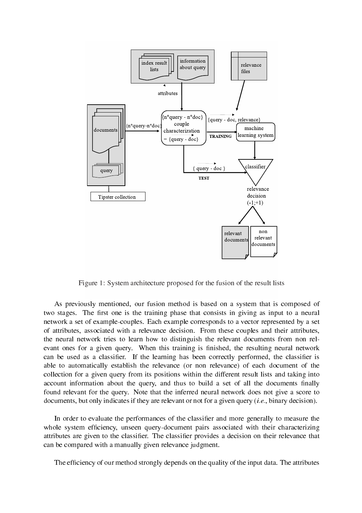

Figure 1: System architecture proposed for the fusion of the result lists

As previously mentioned, our fusion method is based on a system that is composed of two stages. The first one is the training phase that consists in giving as input to a neural network a set of example-couples. Each example corresponds to a vector represented by a set of attributes, associated with a relevance decision. From these couples and their attributes, the neural network tries to learn how to distinguish the relevant documents from non relevant ones for a given query. When this training is finished, the resulting neural network can be used as a classifier. If the learning has been correctly performed, the classifier is able to automatically establish the relevance (or non relevance) of each document of the collection for a given query from its positions within the different result lists and taking into account information about the query, and thus to build a set of all the documents finally found relevant for the query. Note that the inferred neural network does not give a score to documents, but only indicates if they are relevant or not for a given query *(i.e.*, binary decision).

In order to evaluate the performances of the classifier and more generally to measure the whole system efficiency, unseen query-document pairs associated with their characterizing attributes are given to the classifier. The classifier provides a decision on their relevance that can be compared with a manually given relevance judgment.

The efficiency of our method strongly depends on the quality of the input data. The attributes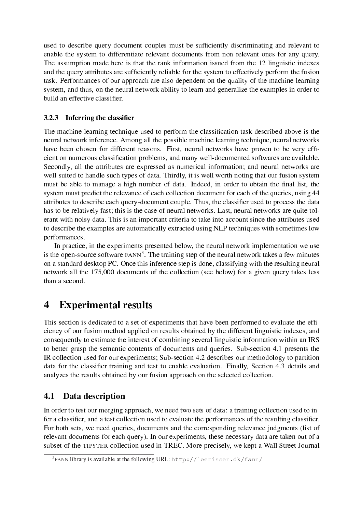used to describe query-document couples must be sufficiently discriminating and relevant to enable the system to differentiate relevant documents from non relevant ones for any query. The assumption made here is that the rank information issued from the 12 linguistic indexes and the query attributes are sufficiently reliable for the system to effectively perform the fusion task. Performances of our approach are also dependent on the quality of the machine learning system, and thus, on the neural network ability to learn and generalize the examples in order to build an effective classifier.

### $3.2.3$  Inferring the classifier

The machine learning technique used to perform the classification task described above is the neural network inference. Among all the possible machine learning technique, neural networks have been chosen for different reasons. First, neural networks have proven to be very efficient on numerous classification problems, and many well-documented softwares are available. Secondly, all the attributes are expressed as numerical information; and neural networks are well-suited to handle such types of data. Thirdly, it is well worth noting that our fusion system must be able to manage a high number of data. Indeed, in order to obtain the final list, the system must predict the relevance of each collection document for each of the queries, using 44 attributes to describe each query-document couple. Thus, the classifier used to process the data has to be relatively fast; this is the case of neural networks. Last, neural networks are quite tolerant with noisy data. This is an important criteria to take into account since the attributes used to describe the examples are automatically extracted using NLP techniques with sometimes low performances.

In practice, in the experiments presented below, the neural network implementation we use is the open-source software  $FANN^3$ . The training step of the neural network takes a few minutes on a standard desktop PC. Once this inference step is done, classifying with the resulting neural network all the 175,000 documents of the collection (see below) for a given query takes less than a second.

# 4 Experimental results

This section is dedicated to a set of experiments that have been performed to evaluate the efficiency of our fusion method applied on results obtained by the different linguistic indexes, and consequently to estimate the interest of combining several linguistic information within an IRS to better grasp the semantic contents of documents and queries. Sub-section 4.1 presents the IR collection used for our experiments; Sub-section 4.2 describes our methodology to partition data for the classifier training and test to enable evaluation. Finally, Section 4.3 details and analyzes the results obtained by our fusion approach on the selected collection.

## 4.1 Data description

In order to test our merging approach, we need two sets of data: a training collection used to infer a classifier, and a test collection used to evaluate the performances of the resulting classifier. For both sets, we need queries, documents and the corresponding relevance judgments (list of relevant documents for each query). In our experiments, these necessary data are taken out of a subset of the TIPSTER collection used in TREC. More precisely, we kept a Wall Street Journal

 $^3$ FANN library is available at the following URL: <code>http://leenissen.dk/fann/.</code>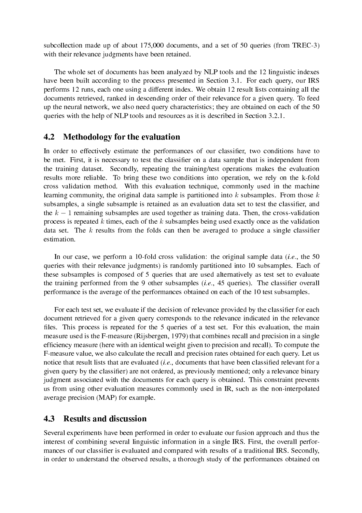subcollection made up of about 175,000 documents, and a set of 50 queries (from TREC-3) with their relevance judgments have been retained.

The whole set of documents has been analyzed by NLP tools and the 12 linguistic indexes have been built according to the process presented in Section 3.1. For each query, our IRS performs 12 runs, each one using a different index. We obtain 12 result lists containing all the documents retrieved, ranked in descending order of their relevance for a given query. To feed up the neural network, we also need query characteristics; they are obtained on each of the 50 queries with the help of NLP tools and resources as it is described in Section 3.2.1.

### 4.2 Methodology for the evaluation

In order to effectively estimate the performances of our classifier, two conditions have to be met. First, it is necessary to test the classifier on a data sample that is independent from the training dataset. Secondly, repeating the training/test operations makes the evaluation results more reliable. To bring these two conditions into operation, we rely on the k-fold cross validation method. With this evaluation technique, commonly used in the machine learning community, the original data sample is partitioned into  $k$  subsamples. From those  $k$ subsamples, a single subsample is retained as an evaluation data set to test the classifier, and the  $k - 1$  remaining subsamples are used together as training data. Then, the cross-validation process is repeated k times, each of the  $k$  subsamples being used exactly once as the validation data set. The  $k$  results from the folds can then be averaged to produce a single classifier estimation.

In our case, we perform a 10-fold cross validation: the original sample data (*i.e.*, the 50 queries with their relevance judgments) is randomly partitioned into 10 subsamples. Each of these subsamples is composed of 5 queries that are used alternatively as test set to evaluate the training performed from the 9 other subsamples  $(i.e., 45$  queries). The classifier overall performance is the average of the performances obtained on each of the 10 test subsamples.

For each test set, we evaluate if the decision of relevance provided by the classifier for each document retrieved for a given query corresponds to the relevance indicated in the relevance files. This process is repeated for the 5 queries of a test set. For this evaluation, the main measure used is the F-measure (Rijsbergen, 1979) that combines recall and precision in a single efficiency measure (here with an identical weight given to precision and recall). To compute the F-measure value, we also calculate the recall and precision rates obtained for each query. Let us notice that result lists that are evaluated (*i.e.*, documents that have been classified relevant for a given query by the classifier) are not ordered, as previously mentioned; only a relevance binary judgment associated with the documents for each query is obtained. This constraint prevents us from using other evaluation measures commonly used in IR, such as the non-interpolated average precision (MAP) for example.

### 4.3 Results and discussion

Several experiments have been performed in order to evaluate our fusion approach and thus the interest of combining several linguistic information in a single IRS. First, the overall performances of our classifier is evaluated and compared with results of a traditional IRS. Secondly, in order to understand the observed results, a thorough study of the performances obtained on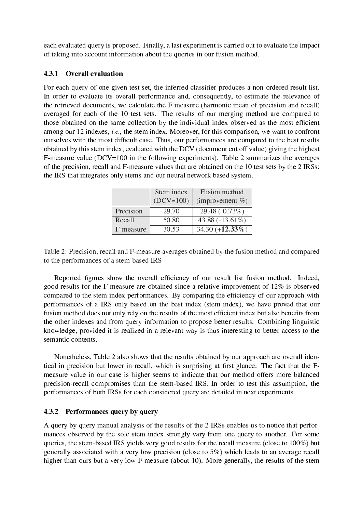each evaluated query is proposed. Finally, a last experiment is carried out to evaluate the impact of taking into account information about the queries in our fusion method.

#### 4.3.1 Overall evaluation

For each query of one given test set, the inferred classifier produces a non-ordered result list. In order to evaluate its overall performance and, consequently, to estimate the relevance of the retrieved documents, we calculate the F-measure (harmonic mean of precision and recall) averaged for each of the 10 test sets. The results of our merging method are compared to those obtained on the same collection by the individual index observed as the most efficient among our 12 indexes, i.e., the stem index. Moreover, for this comparison, we want to confront ourselves with the most difficult case. Thus, our performances are compared to the best results obtained by this stem index, evaluated with the DCV (document cut off value) giving the highest F-measure value (DCV=100 in the following experiments). Table 2 summarizes the averages of the precision, recall and F-measure values that are obtained on the 10 test sets by the 2 IRSs: the IRS that integrates only stems and our neural network based system.

|           | Stem index  | Fusion method       |
|-----------|-------------|---------------------|
|           | $(DCV=100)$ | (improvement $\%$ ) |
| Precision | 29.70       | 29.48 (-0.73%)      |
| Recall    | 50.80       | 43.88 $(-13.61\%)$  |
| F-measure | 30.53       | $34.30 (+12.33\%)$  |

Table 2: Precision, recall and F-measure averages obtained by the fusion method and compared to the performances of a stem-based IRS

Reported figures show the overall efficiency of our result list fusion method. Indeed, good results for the F-measure are obtained since a relative improvement of 12% is observed compared to the stem index performances. By comparing the efficiency of our approach with performances of a IRS only based on the best index (stem index), we have proved that our fusion method does not only rely on the results of the most efficient index but also benefits from the other indexes and from query information to propose better results. Combining linguistic knowledge, provided it is realized in a relevant way is thus interesting to better access to the semantic contents.

Nonetheless, Table 2 also shows that the results obtained by our approach are overall identical in precision but lower in recall, which is surprising at first glance. The fact that the Fmeasure value in our case is higher seems to indicate that our method offers more balanced precision-recall compromises than the stem-based IRS. In order to test this assumption, the performances of both IRSs for each considered query are detailed in next experiments.

#### 4.3.2 Performances query by query

A query by query manual analysis of the results of the 2 IRSs enables us to notice that performances observed by the sole stem index strongly vary from one query to another. For some queries, the stem-based IRS yields very good results for the recall measure (close to 100%) but generally associated with a very low precision (close to 5%) which leads to an average recall higher than ours but a very low F-measure (about 10). More generally, the results of the stem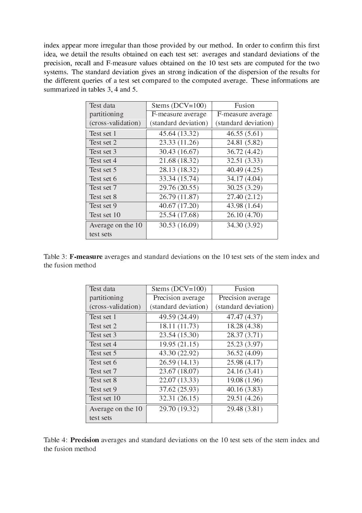index appear more irregular than those provided by our method. In order to confirm this first idea, we detail the results obtained on each test set: averages and standard deviations of the precision, recall and F-measure values obtained on the 10 test sets are computed for the two systems. The standard deviation gives an strong indication of the dispersion of the results for the different queries of a test set compared to the computed average. These informations are summarized in tables 3, 4 and 5.

| Test data          | Stems $(DCV=100)$    | Fusion               |  |  |
|--------------------|----------------------|----------------------|--|--|
| partitioning       | F-measure average    | F-measure average    |  |  |
| (cross-validation) | (standard deviation) | (standard deviation) |  |  |
| Test set 1         | 45.64 (13.32)        | 46.55(5.61)          |  |  |
| Test set 2         | 23.33 (11.26)        | 24.81 (5.82)         |  |  |
| Test set 3         | 30.43 (16.67)        | 36.72 (4.42)         |  |  |
| Test set 4         | 21.68 (18.32)        | 32.51 (3.33)         |  |  |
| Test set 5         | 28.13 (18.32)        | 40.49 (4.25)         |  |  |
| Test set 6         | 33.34 (15.74)        | 34.17 (4.04)         |  |  |
| Test set 7         | 29.76 (20.55)        | 30.25 (3.29)         |  |  |
| Test set 8         | 26.79 (11.87)        | 27.40 (2.12)         |  |  |
| Test set 9         | 40.67 (17.20)        | 43.98 (1.64)         |  |  |
| Test set 10        | 25.54 (17.68)        | 26.10 (4.70)         |  |  |
| Average on the 10  | 30.53 (16.09)        | 34.30 (3.92)         |  |  |
| test sets          |                      |                      |  |  |

Table 3: F-measure averages and standard deviations on the 10 test sets of the stem index and the fusion method

| Test data          | Stems $(DCV=100)$    | Fusion               |  |  |
|--------------------|----------------------|----------------------|--|--|
| partitioning       | Precision average    | Precision average    |  |  |
| (cross-validation) | (standard deviation) | (standard deviation) |  |  |
| Test set 1         | 49.59 (24.49)        | 47.47 (4.37)         |  |  |
| Test set 2         | 18.11 (11.73)        | 18.28 (4.38)         |  |  |
| Test set 3         | 23.54 (15.30)        | 28.37 (3.71)         |  |  |
| Test set 4         | 19.95 (21.15)        | 25.23 (3.97)         |  |  |
| Test set 5         | 43.30 (22.92)        | 36.52 (4.09)         |  |  |
| Test set 6         | 26.59 (14.13)        | 25.98 (4.17)         |  |  |
| Test set 7         | 23.67 (18.07)        | 24.16 (3.41)         |  |  |
| Test set 8         | 22.07 (13.33)        | 19.08 (1.96)         |  |  |
| Test set 9         | 37.62 (25.93)        | 40.16(3.83)          |  |  |
| Test set 10        | 32.31 (26.15)        | 29.51 (4.26)         |  |  |
| Average on the 10  | 29.70 (19.32)        | 29.48 (3.81)         |  |  |
| test sets          |                      |                      |  |  |

Table 4: Precision averages and standard deviations on the 10 test sets of the stem index and the fusion method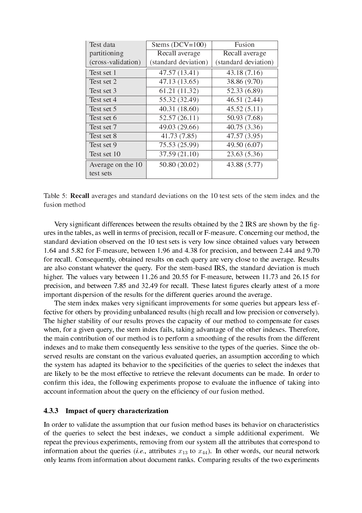| Test data          | Stems $(DCV=100)$    | Fusion               |  |  |
|--------------------|----------------------|----------------------|--|--|
| partitioning       | Recall average       | Recall average       |  |  |
| (cross-validation) | (standard deviation) | (standard deviation) |  |  |
| Test set 1         | 47.57 (13.41)        | 43.18(7.16)          |  |  |
| Test set 2         | 47.13 (13.65)        | 38.86 (9.70)         |  |  |
| Test set 3         | 61.21 (11.32)        | 52.33 (6.89)         |  |  |
| Test set 4         | 55.32 (32.49)        | 46.51 (2.44)         |  |  |
| Test set 5         | 40.31 (18.60)        | 45.52(5.11)          |  |  |
| Test set 6         | 52.57(26.11)         | 50.93 (7.68)         |  |  |
| Test set 7         | 49.03 (29.66)        | 40.75 (3.36)         |  |  |
| Test set 8         | 41.73 (7.85)         | 47.57 (3.95)         |  |  |
| Test set 9         | 75.53 (25.99)        | 49.50 (6.07)         |  |  |
| Test set 10        | 37.59 (21.10)        | 23.63 (5.36)         |  |  |
| Average on the 10  | 50.80 (20.02)        | 43.88 (5.77)         |  |  |
| test sets          |                      |                      |  |  |

Table 5: Recall averages and standard deviations on the 10 test sets of the stem index and the fusion method

Very significant differences between the results obtained by the 2 IRS are shown by the figures in the tables, as well in terms of precision, recall or F-measure. Concerning our method, the standard deviation observed on the 10 test sets is very low since obtained values vary between 1.64 and 5.82 for F-measure, between 1.96 and 4.38 for precision, and between 2.44 and 9.70 for recall. Consequently, obtained results on each query are very close to the average. Results are also constant whatever the query. For the stem-based IRS, the standard deviation is much higher. The values vary between 11.26 and 20.55 for F-measure, between 11.73 and 26.15 for precision, and between 7.85 and 32.49 for recall. These latest figures clearly attest of a more important dispersion of the results for the different queries around the average.

The stem index makes very significant improvements for some queries but appears less effective for others by providing unbalanced results (high recall and low precision or conversely). The higher stability of our results proves the capacity of our method to compensate for cases when, for a given query, the stem index fails, taking advantage of the other indexes. Therefore, the main contribution of our method is to perform a smoothing of the results from the different indexes and to make them consequently less sensitive to the types of the queries. Since the observed results are constant on the various evaluated queries, an assumption according to which the system has adapted its behavior to the specificities of the queries to select the indexes that are likely to be the most effective to retrieve the relevant documents can be made. In order to confirm this idea, the following experiments propose to evaluate the influence of taking into account information about the query on the efficiency of our fusion method.

#### 4.3.3 Impact of query characterization

In order to validate the assumption that our fusion method bases its behavior on characteristics of the queries to select the best indexes, we conduct a simple additional experiment. We repeat the previous experiments, removing from our system all the attributes that correspond to information about the queries (*i.e.*, attributes  $x_{13}$  to  $x_{44}$ ). In other words, our neural network only learns from information about document ranks. Comparing results of the two experiments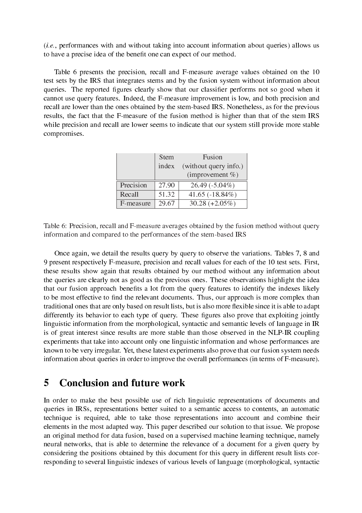(i.e., performances with and without taking into account information about queries) allows us to have a precise idea of the benefit one can expect of our method.

Table 6 presents the precision, recall and F-measure average values obtained on the 10 test sets by the IRS that integrates stems and by the fusion system without information about queries. The reported figures clearly show that our classifier performs not so good when it cannot use query features. Indeed, the F-measure improvement is low, and both precision and recall are lower than the ones obtained by the stem-based IRS. Nonetheless, as for the previous results, the fact that the F-measure of the fusion method is higher than that of the stem IRS while precision and recall are lower seems to indicate that our system still provide more stable compromises.

|           | Stem  | Fusion                |
|-----------|-------|-----------------------|
|           | index | (without query info.) |
|           |       | (improvement $\%$ )   |
| Precision | 27.90 | $26.49(-5.04\%)$      |
| Recall    | 51.32 | 41.65 $(-18.84\%)$    |
| F-measure | 29.67 | $30.28 (+2.05%)$      |

Table 6: Precision, recall and F-measure averages obtained by the fusion method without query information and compared to the performances of the stem-based IRS

Once again, we detail the results query by query to observe the variations. Tables 7, 8 and 9 present respectively F-measure, precision and recall values for each of the 10 test sets. First, these results show again that results obtained by our method without any information about the queries are clearly not as good as the previous ones. These observations highlight the idea that our fusion approach benefits a lot from the query features to identify the indexes likely to be most effective to find the relevant documents. Thus, our approach is more complex than traditional ones that are only based on result lists, but is also more flexible since it is able to adapt differently its behavior to each type of query. These figures also prove that exploiting jointly linguistic information from the morphological, syntactic and semantic levels of language in IR is of great interest since results are more stable than those observed in the NLP-IR coupling experiments that take into account only one linguistic information and whose performances are known to be very irregular. Yet, these latest experiments also prove that our fusion system needs information about queries in order to improve the overall performances (in terms of F-measure).

# 5 Conclusion and future work

In order to make the best possible use of rich linguistic representations of documents and queries in IRSs, representations better suited to a semantic access to contents, an automatic technique is required, able to take those representations into account and combine their elements in the most adapted way. This paper described our solution to that issue. We propose an original method for data fusion, based on a supervised machine learning technique, namely neural networks, that is able to determine the relevance of a document for a given query by considering the positions obtained by this document for this query in different result lists corresponding to several linguistic indexes of various levels of language (morphological, syntactic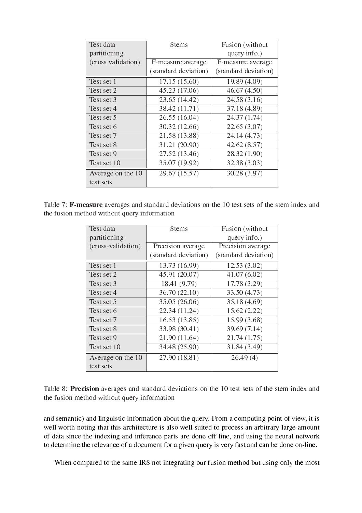| Test data          | <b>Stems</b>         | Fusion (without      |  |  |
|--------------------|----------------------|----------------------|--|--|
| partitioning       |                      | query info.)         |  |  |
| (cross validation) | F-measure average    | F-measure average    |  |  |
|                    | (standard deviation) | (standard deviation) |  |  |
| Test set 1         | 17.15(15.60)         | 19.89 (4.09)         |  |  |
| Test set 2         | 45.23 (17.06)        | 46.67(4.50)          |  |  |
| Test set 3         | 23.65 (14.42)        | 24.58 (3.16)         |  |  |
| Test set 4         | 38.42 (11.71)        | 37.18 (4.89)         |  |  |
| Test set 5         | 26.55 (16.04)        | 24.37 (1.74)         |  |  |
| Test set 6         | 30.32 (12.66)        | 22.65 (3.07)         |  |  |
| Test set 7         | 21.58 (13.88)        | 24.14 (4.73)         |  |  |
| Test set 8         | 31.21 (20.90)        | 42.62(8.57)          |  |  |
| Test set 9         | 27.52 (13.46)        | 28.32 (1.90)         |  |  |
| Test set 10        | 35.07 (19.92)        | 32.38 (3.03)         |  |  |
| Average on the 10  | 29.67 (15.57)        | 30.28 (3.97)         |  |  |
| test sets          |                      |                      |  |  |

Table 7: F-measure averages and standard deviations on the 10 test sets of the stem index and the fusion method without query information

| Test data          | <b>Stems</b>         | Fusion (without      |  |  |
|--------------------|----------------------|----------------------|--|--|
| partitioning       |                      | query info.)         |  |  |
| (cross-validation) | Precision average    | Precision average    |  |  |
|                    | (standard deviation) | (standard deviation) |  |  |
| Test set 1         | 13.73 (16.99)        | 12.53(3.02)          |  |  |
| Test set 2         | 45.91 (20.07)        | 41.07(6.02)          |  |  |
| Test set 3         | 18.41 (9.79)         | 17.78 (3.29)         |  |  |
| Test set 4         | 36.70 (22.10)        | 33.50 (4.73)         |  |  |
| Test set 5         | 35.05 (26.06)        | 35.18 (4.69)         |  |  |
| Test set 6         | 22.34 (11.24)        | 15.62(2.22)          |  |  |
| Test set 7         | 16.53(13.85)         | 15.99 (3.68)         |  |  |
| Test set 8         | 33.98 (30.41)        | 39.69 (7.14)         |  |  |
| Test set 9         | 21.90 (11.64)        | 21.74 (1.75)         |  |  |
| Test set 10        | 34.48 (25.90)        | 31.84 (3.49)         |  |  |
| Average on the 10  | 27.90 (18.81)        | 26.49(4)             |  |  |
| test sets          |                      |                      |  |  |

| Table 8: Precision averages and standard deviations on the 10 test sets of the stem index and |  |  |  |  |  |
|-----------------------------------------------------------------------------------------------|--|--|--|--|--|
| the fusion method without query information                                                   |  |  |  |  |  |

and semantic) and linguistic information about the query. From a computing point of view, it is well worth noting that this architecture is also well suited to process an arbitrary large amount of data since the indexing and inference parts are done off-line, and using the neural network to determine the relevance of a document for a given query is very fast and can be done on-line.

When compared to the same IRS not integrating our fusion method but using only the most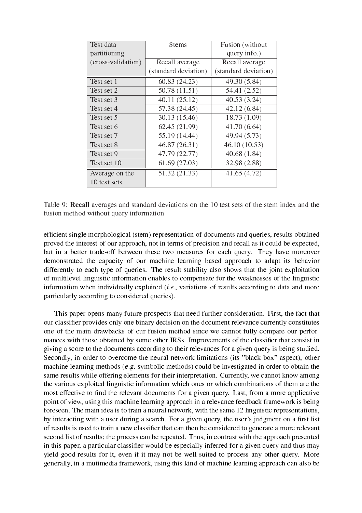| Test data          | <b>Stems</b>         | Fusion (without      |  |  |
|--------------------|----------------------|----------------------|--|--|
| partitioning       |                      | query info.)         |  |  |
| (cross-validation) | Recall average       | Recall average       |  |  |
|                    | (standard deviation) | (standard deviation) |  |  |
| Test set 1         | 60.83 (24.23)        | 49.30 (5.84)         |  |  |
| Test set 2         | 50.78 (11.51)        | 54.41 (2.52)         |  |  |
| Test set 3         | 40.11 (25.12)        | 40.53 (3.24)         |  |  |
| Test set 4         | 57.38 (24.45)        | 42.12 (6.84)         |  |  |
| Test set 5         | 30.13 (15.46)        | 18.73 (1.09)         |  |  |
| Test set 6         | 62.45 (21.99)        | 41.70 (6.64)         |  |  |
| Test set 7         | 55.19 (14.44)        | 49.94 (5.73)         |  |  |
| Test set 8         | 46.87 (26.31)        | 46.10 (10.53)        |  |  |
| Test set 9         | 47.79 (22.77)        | 40.68 (1.84)         |  |  |
| Test set 10        | 61.69 (27.03)        | 32.98 (2.88)         |  |  |
| Average on the     | 51.32 (21.33)        | 41.65 (4.72)         |  |  |
| 10 test sets       |                      |                      |  |  |

Table 9: Recall averages and standard deviations on the 10 test sets of the stem index and the fusion method without query information

efficient single morphological (stem) representation of documents and queries, results obtained proved the interest of our approach, not in terms of precision and recall as it could be expected, but in a better trade-off between these two measures for each query. They have moreover demonstrated the capacity of our machine learning based approach to adapt its behavior differently to each type of queries. The result stability also shows that the joint exploitation of multilevel linguistic information enables to compensate for the weaknesses of the linguistic information when individually exploited  $(i.e.,$  variations of results according to data and more particularly according to considered queries).

This paper opens many future prospects that need further consideration. First, the fact that our classifier provides only one binary decision on the document relevance currently constitutes one of the main drawbacks of our fusion method since we cannot fully compare our performances with those obtained by some other IRSs. Improvements of the classifier that consist in giving a score to the documents according to their relevances for a given query is being studied. Secondly, in order to overcome the neural network limitations (its "black box" aspect), other machine learning methods (e.g. symbolic methods) could be investigated in order to obtain the same results while offering elements for their interpretation. Currently, we cannot know among the various exploited linguistic information which ones or which combinations of them are the most effective to find the relevant documents for a given query. Last, from a more applicative point of view, using this machine learning approach in a relevance feedback framework is being foreseen. The main idea is to train a neural network, with the same 12 linguistic representations, by interacting with a user during a search. For a given query, the user's judgment on a first list of results is used to train a new classifier that can then be considered to generate a more relevant second list of results; the process can be repeated. Thus, in contrast with the approach presented in this paper, a particular classifier would be especially inferred for a given query and thus may yield good results for it, even if it may not be well-suited to process any other query. More generally, in a mutimedia framework, using this kind of machine learning approach can also be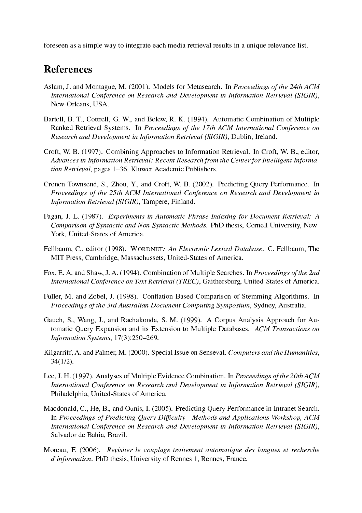foreseen as a simple way to integrate each media retrieval results in a unique relevance list.

# References

- Aslam, J. and Montague, M. (2001). Models for Metasearch. In Proceedings of the 24th ACM International Conference on Research and Development in Information Retrieval (SIGIR), New-Orleans, USA.
- Bartell, B. T., Cottrell, G. W., and Belew, R. K. (1994). Automatic Combination of Multiple Ranked Retrieval Systems. In Proceedings of the 17th ACM International Conference on Research and Development in Information Retrieval (SIGIR), Dublin, Ireland.
- Croft, W. B. (1997). Combining Approaches to Information Retrieval. In Croft, W. B., editor, Advances in Information Retrieval: Recent Research from the Center for Intelligent Information Retrieval, pages 1–36. Kluwer Academic Publishers.
- Cronen-Townsend, S., Zhou, Y., and Croft, W. B. (2002). Predicting Query Performance. In Proceedings of the 25th ACM International Conference on Research and Development in Information Retrieval (SIGIR), Tampere, Finland.
- Fagan, J. L. (1987). Experiments in Automatic Phrase Indexing for Document Retrieval: A Comparison of Syntactic and Non-Syntactic Methods. PhD thesis, Cornell University, New-York, United-States of America.
- Fellbaum, C., editor (1998). WORDNET: An Electronic Lexical Database. C. Fellbaum, The MIT Press, Cambridge, Massachussets, United-States of America.
- Fox, E. A. and Shaw, J. A. (1994). Combination of Multiple Searches. In *Proceedings of the 2nd* International Conference on Text Retrieval (TREC), Gaithersburg, United-States of America.
- Fuller, M. and Zobel, J. (1998). Conflation-Based Comparison of Stemming Algorithms. In Proceedings of the 3rd Australian Document Computing Symposium, Sydney, Australia.
- Gauch, S., Wang, J., and Rachakonda, S. M. (1999). A Corpus Analysis Approach for Automatic Query Expansion and its Extension to Multiple Databases. ACM Transactions on Information Systems,  $17(3):250-269$ .
- Kilgarriff, A. and Palmer, M. (2000). Special Issue on Senseval. Computers and the Humanities, 34(1/2).
- Lee, J. H. (1997). Analyses of Multiple Evidence Combination. In Proceedings of the 20th ACM International Conference on Research and Development in Information Retrieval (SIGIR), Philadelphia, United-States of America.
- Macdonald, C., He, B., and Ounis, I. (2005). Predicting Query Performance in Intranet Search. In Proceedings of Predicting Query Difficulty - Methods and Applications Workshop, ACM International Conference on Research and Development in Information Retrieval (SIGIR), Salvador de Bahia, Brazil.
- Moreau, F. (2006). Revisiter le couplage traitement automatique des langues et recherche d'information. PhD thesis, University of Rennes 1, Rennes, France.